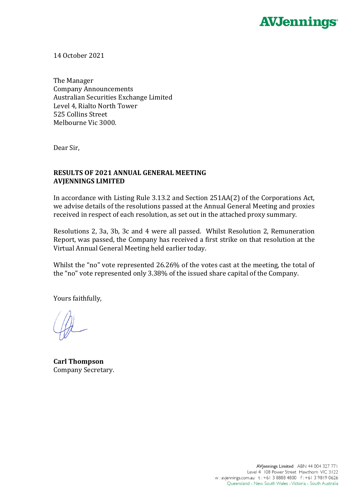

14 October 2021

The Manager Company Announcements Australian Securities Exchange Limited Level 4, Rialto North Tower 525 Collins Street Melbourne Vic 3000.

Dear Sir,

## **RESULTS OF 2021 ANNUAL GENERAL MEETING AVJENNINGS LIMITED**

In accordance with Listing Rule 3.13.2 and Section 251AA(2) of the Corporations Act, we advise details of the resolutions passed at the Annual General Meeting and proxies received in respect of each resolution, as set out in the attached proxy summary.

Resolutions 2, 3a, 3b, 3c and 4 were all passed. Whilst Resolution 2, Remuneration Report, was passed, the Company has received a first strike on that resolution at the Virtual Annual General Meeting held earlier today.

Whilst the "no" vote represented 26.26% of the votes cast at the meeting, the total of the "no" vote represented only 3.38% of the issued share capital of the Company.

Yours faithfully,

**Carl Thompson** Company Secretary.